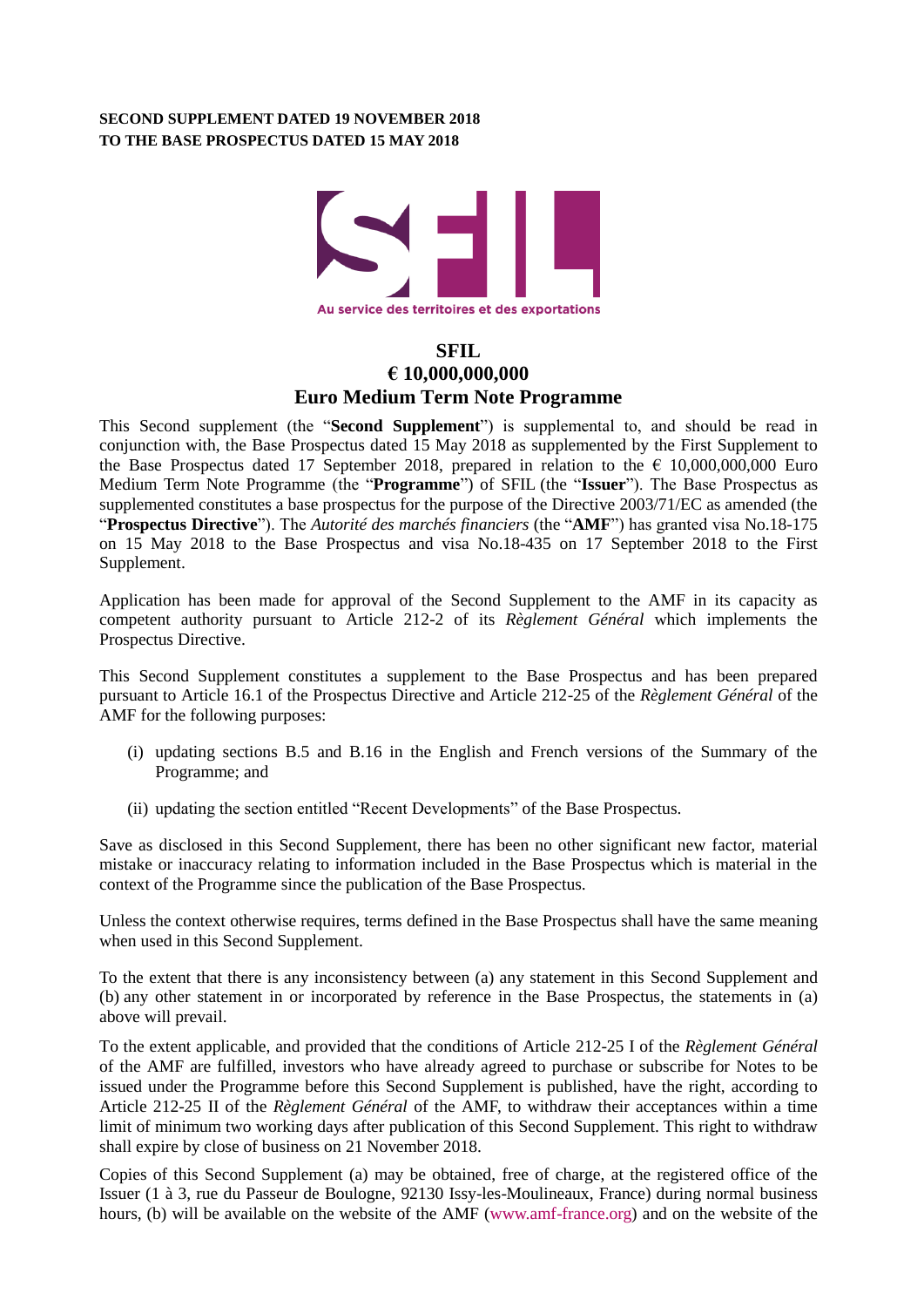## **SECOND SUPPLEMENT DATED 19 NOVEMBER 2018 TO THE BASE PROSPECTUS DATED 15 MAY 2018**



## **SFIL € 10,000,000,000 Euro Medium Term Note Programme**

This Second supplement (the "**Second Supplement**") is supplemental to, and should be read in conjunction with, the Base Prospectus dated 15 May 2018 as supplemented by the First Supplement to the Base Prospectus dated 17 September 2018, prepared in relation to the  $\epsilon$  10,000,000,000 Euro Medium Term Note Programme (the "**Programme**") of SFIL (the "**Issuer**"). The Base Prospectus as supplemented constitutes a base prospectus for the purpose of the Directive 2003/71/EC as amended (the "**Prospectus Directive**"). The *Autorité des marchés financiers* (the "**AMF**") has granted visa No.18-175 on 15 May 2018 to the Base Prospectus and visa No.18-435 on 17 September 2018 to the First Supplement.

Application has been made for approval of the Second Supplement to the AMF in its capacity as competent authority pursuant to Article 212-2 of its *Règlement Général* which implements the Prospectus Directive.

This Second Supplement constitutes a supplement to the Base Prospectus and has been prepared pursuant to Article 16.1 of the Prospectus Directive and Article 212-25 of the *Règlement Général* of the AMF for the following purposes:

- (i) updating sections B.5 and B.16 in the English and French versions of the Summary of the Programme; and
- (ii) updating the section entitled "Recent Developments" of the Base Prospectus.

Save as disclosed in this Second Supplement, there has been no other significant new factor, material mistake or inaccuracy relating to information included in the Base Prospectus which is material in the context of the Programme since the publication of the Base Prospectus.

Unless the context otherwise requires, terms defined in the Base Prospectus shall have the same meaning when used in this Second Supplement.

To the extent that there is any inconsistency between (a) any statement in this Second Supplement and (b) any other statement in or incorporated by reference in the Base Prospectus, the statements in (a) above will prevail.

To the extent applicable, and provided that the conditions of Article 212-25 I of the *Règlement Général* of the AMF are fulfilled, investors who have already agreed to purchase or subscribe for Notes to be issued under the Programme before this Second Supplement is published, have the right, according to Article 212-25 II of the *Règlement Général* of the AMF, to withdraw their acceptances within a time limit of minimum two working days after publication of this Second Supplement. This right to withdraw shall expire by close of business on 21 November 2018.

Copies of this Second Supplement (a) may be obtained, free of charge, at the registered office of the Issuer (1 à 3, rue du Passeur de Boulogne, 92130 Issy-les-Moulineaux, France) during normal business hours, (b) will be available on the website of the AMF [\(www.amf-france.org\)](http://www.amf-france.org/) and on the website of the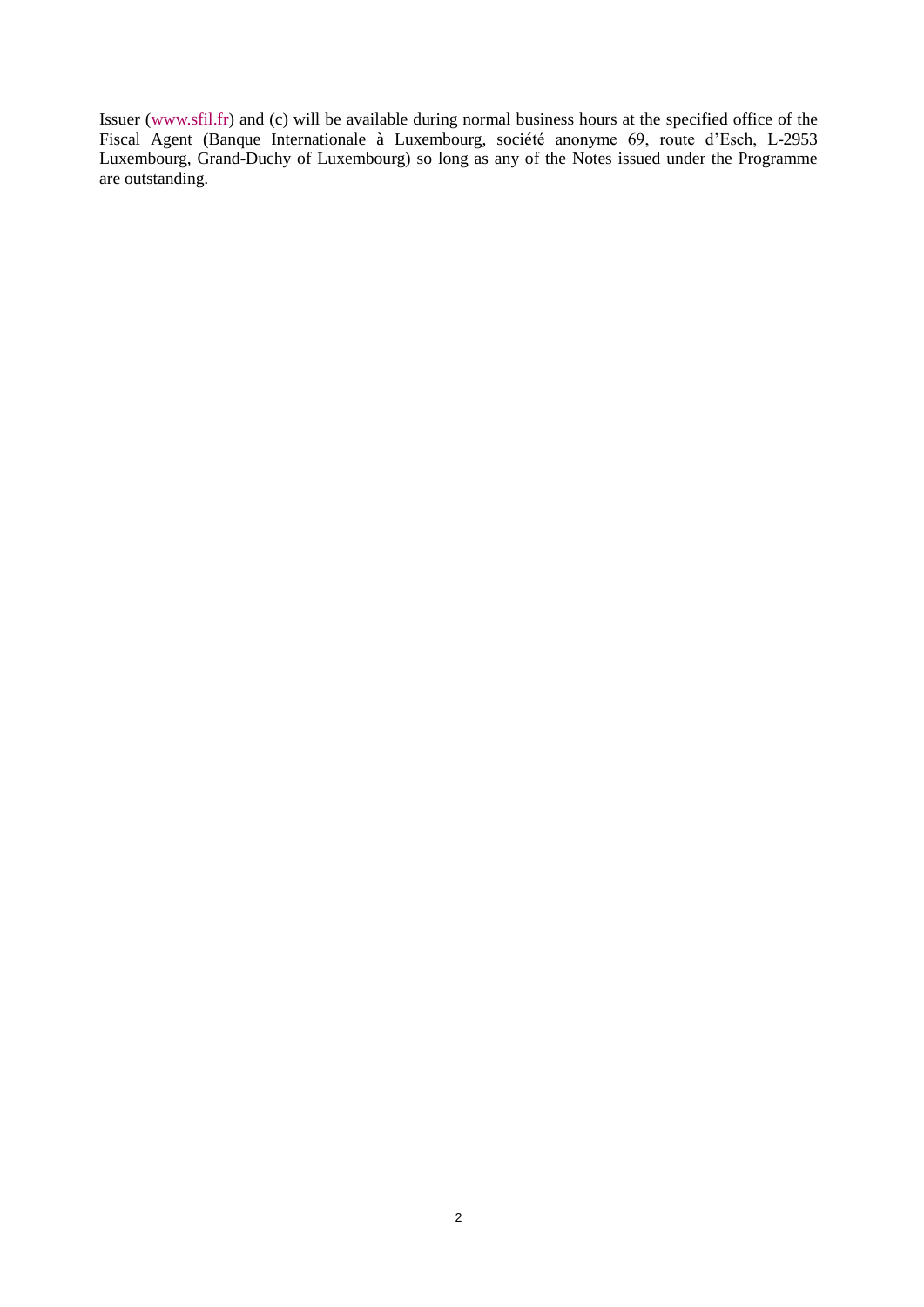Issuer (www.sfil.fr) and (c) will be available during normal business hours at the specified office of the Fiscal Agent (Banque Internationale à Luxembourg, société anonyme 69, route d'Esch, L-2953 Luxembourg, Grand-Duchy of Luxembourg) so long as any of the Notes issued under the Programme are outstanding.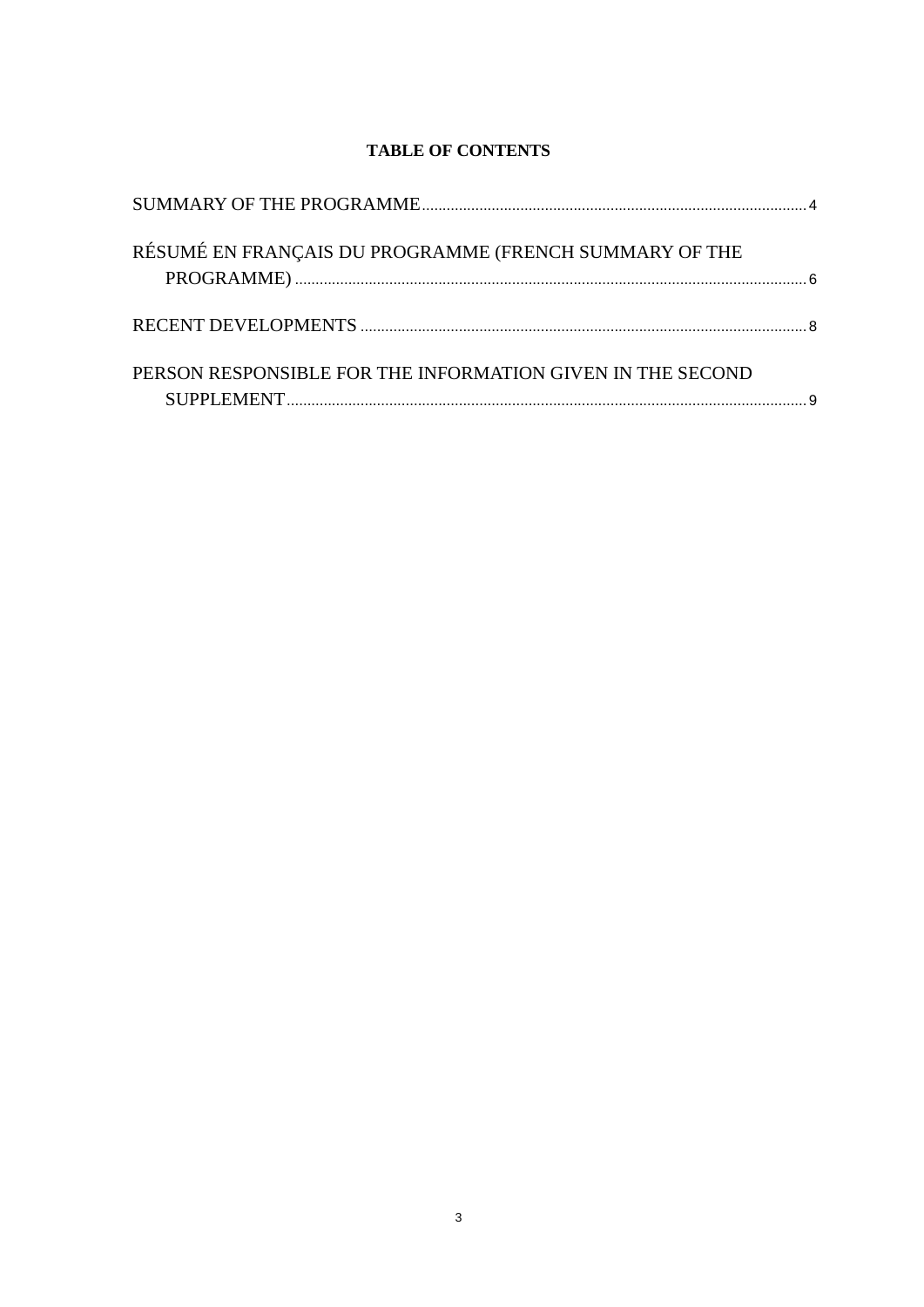# **TABLE OF CONTENTS**

| RÉSUMÉ EN FRANÇAIS DU PROGRAMME (FRENCH SUMMARY OF THE     |  |
|------------------------------------------------------------|--|
|                                                            |  |
| PERSON RESPONSIBLE FOR THE INFORMATION GIVEN IN THE SECOND |  |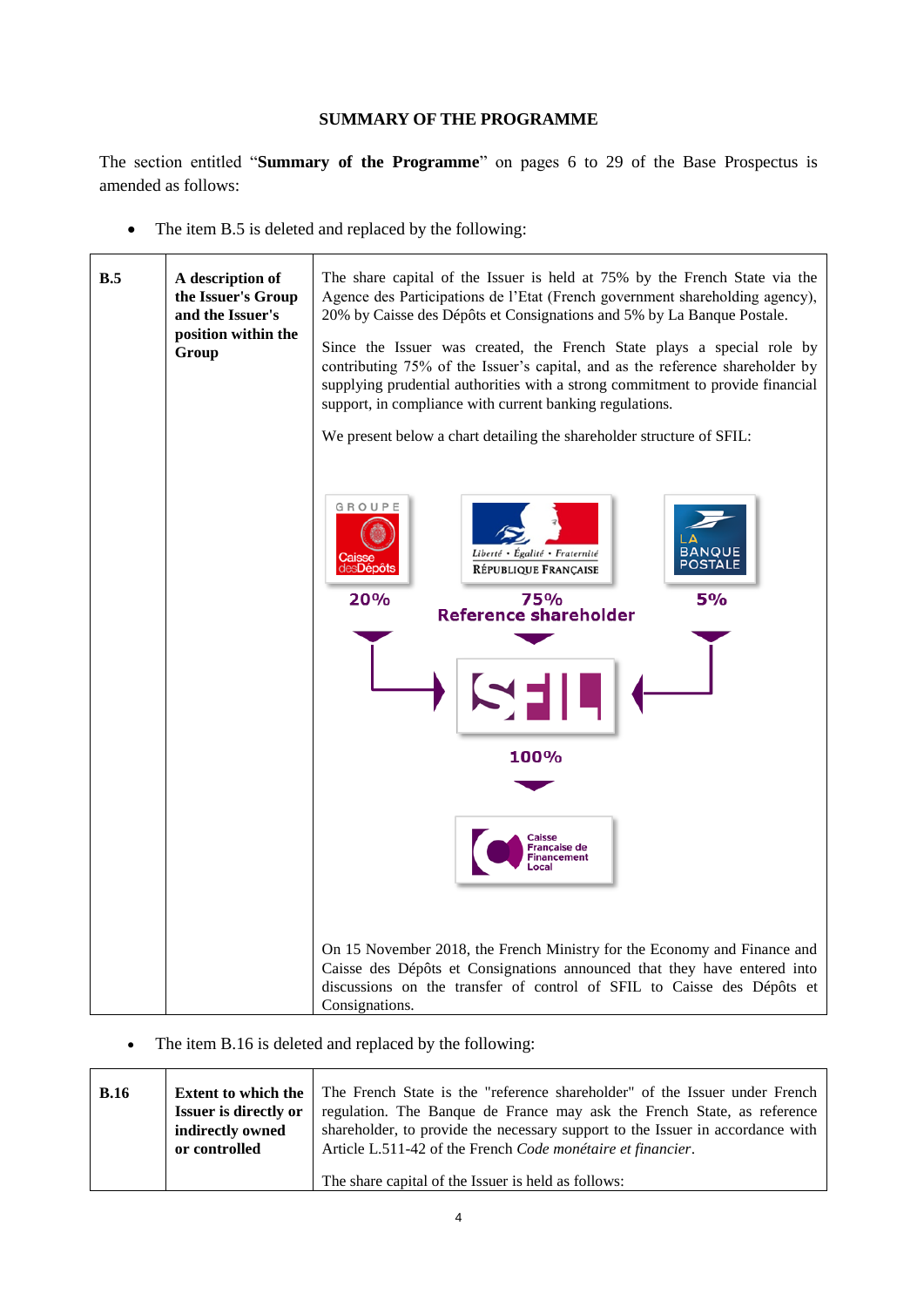## **SUMMARY OF THE PROGRAMME**

<span id="page-3-0"></span>The section entitled "**Summary of the Programme**" on pages 6 to 29 of the Base Prospectus is amended as follows:

• The item B.5 is deleted and replaced by the following:

| B.5 | A description of<br>the Issuer's Group<br>and the Issuer's<br>position within the<br>Group | The share capital of the Issuer is held at 75% by the French State via the<br>Agence des Participations de l'Etat (French government shareholding agency),<br>20% by Caisse des Dépôts et Consignations and 5% by La Banque Postale.<br>Since the Issuer was created, the French State plays a special role by<br>contributing 75% of the Issuer's capital, and as the reference shareholder by<br>supplying prudential authorities with a strong commitment to provide financial<br>support, in compliance with current banking regulations.<br>We present below a chart detailing the shareholder structure of SFIL: |
|-----|--------------------------------------------------------------------------------------------|------------------------------------------------------------------------------------------------------------------------------------------------------------------------------------------------------------------------------------------------------------------------------------------------------------------------------------------------------------------------------------------------------------------------------------------------------------------------------------------------------------------------------------------------------------------------------------------------------------------------|
|     |                                                                                            | GROUPE<br><b>BANQUE</b><br>Liberté • Égalité • Fraternité<br>es <b>Dépôts</b><br><b>RÉPUBLIQUE FRANCAISE</b><br>20%<br>75%<br>5%<br><b>Reference shareholder</b><br>100%<br>Caisse<br>Française de<br><b>inancement</b>                                                                                                                                                                                                                                                                                                                                                                                                |
|     |                                                                                            | On 15 November 2018, the French Ministry for the Economy and Finance and<br>Caisse des Dépôts et Consignations announced that they have entered into<br>discussions on the transfer of control of SFIL to Caisse des Dépôts et<br>Consignations.                                                                                                                                                                                                                                                                                                                                                                       |

• The item B.16 is deleted and replaced by the following:

| B.16 | <b>Extent to which the</b><br><b>Issuer is directly or</b><br>indirectly owned<br>or controlled | The French State is the "reference shareholder" of the Issuer under French<br>regulation. The Banque de France may ask the French State, as reference<br>shareholder, to provide the necessary support to the Issuer in accordance with<br>Article L.511-42 of the French Code monétaire et financier. |
|------|-------------------------------------------------------------------------------------------------|--------------------------------------------------------------------------------------------------------------------------------------------------------------------------------------------------------------------------------------------------------------------------------------------------------|
|      |                                                                                                 | The share capital of the Issuer is held as follows:                                                                                                                                                                                                                                                    |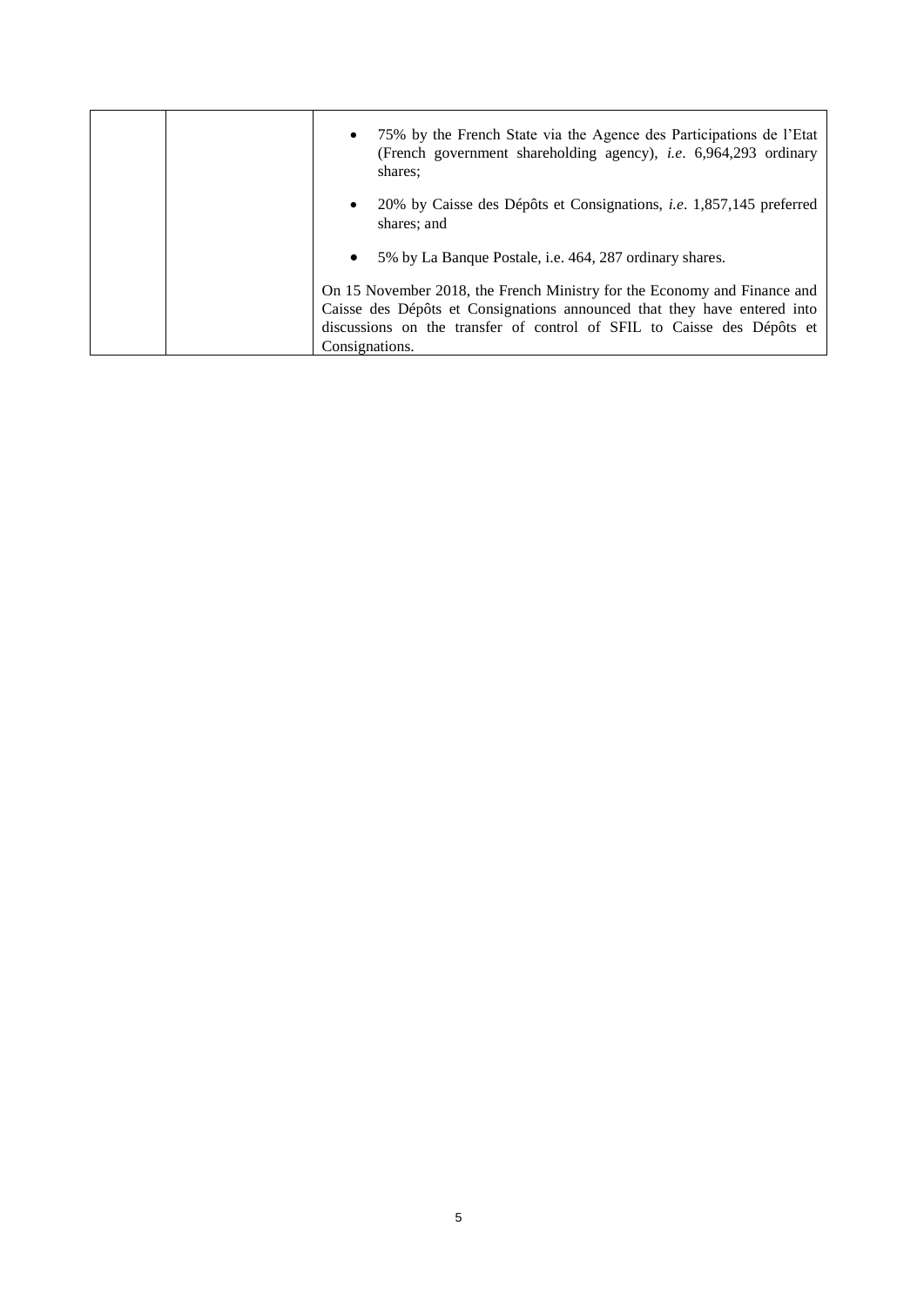| 75% by the French State via the Agence des Participations de l'Etat<br>$\bullet$<br>(French government shareholding agency), <i>i.e.</i> 6,964,293 ordinary<br>shares:                                                                           |
|--------------------------------------------------------------------------------------------------------------------------------------------------------------------------------------------------------------------------------------------------|
| 20% by Caisse des Dépôts et Consignations, <i>i.e.</i> 1,857,145 preferred<br>$\bullet$<br>shares; and                                                                                                                                           |
| 5% by La Banque Postale, <i>i.e.</i> 464, 287 ordinary shares.<br>$\bullet$                                                                                                                                                                      |
| On 15 November 2018, the French Ministry for the Economy and Finance and<br>Caisse des Dépôts et Consignations announced that they have entered into<br>discussions on the transfer of control of SFIL to Caisse des Dépôts et<br>Consignations. |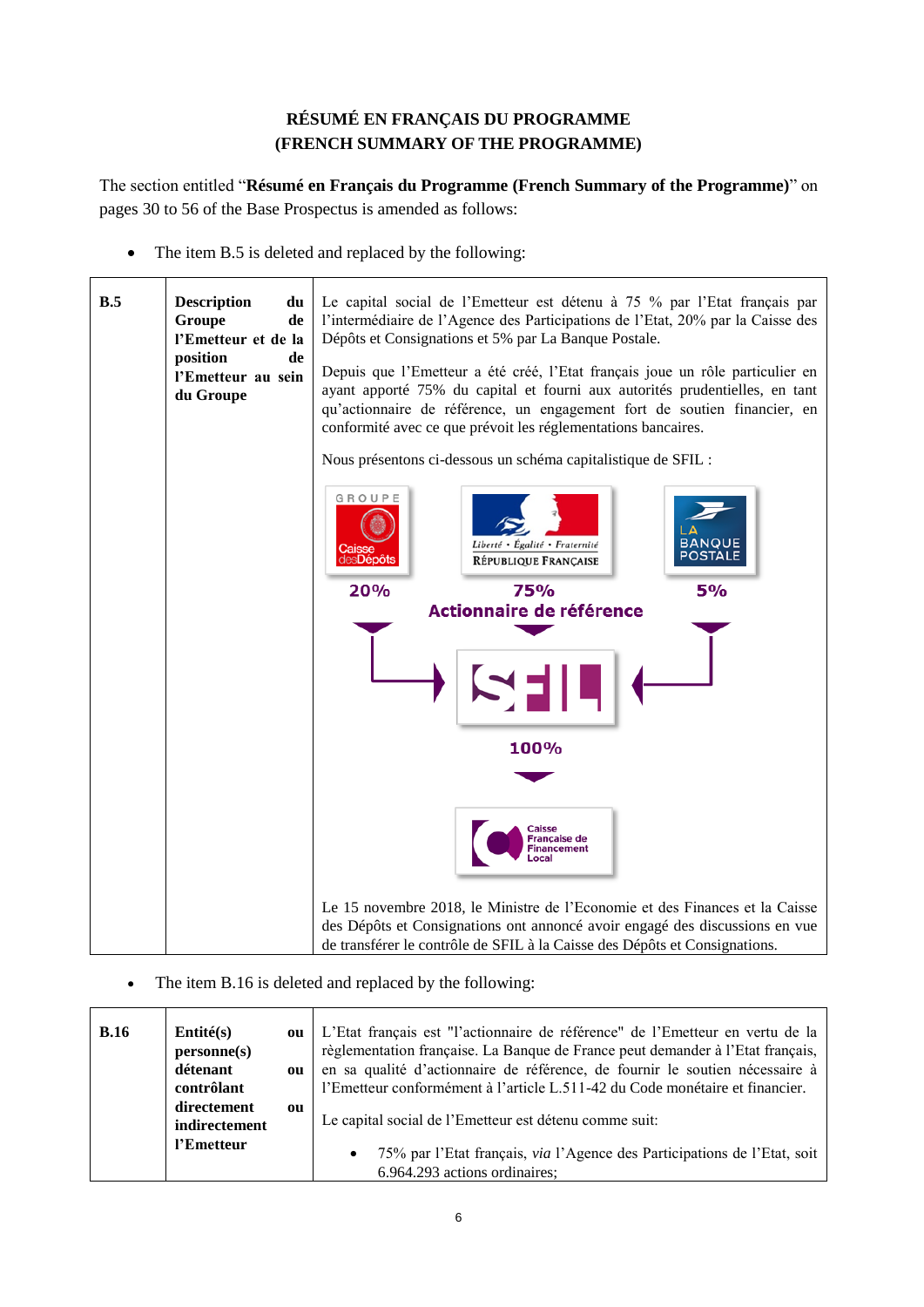# **RÉSUMÉ EN FRANÇAIS DU PROGRAMME (FRENCH SUMMARY OF THE PROGRAMME)**

<span id="page-5-0"></span>The section entitled "**Résumé en Français du Programme (French Summary of the Programme)**" on pages 30 to 56 of the Base Prospectus is amended as follows:

• The item B.5 is deleted and replaced by the following:

| B.5 | <b>Description</b><br>du<br>Groupe<br>de<br>l'Emetteur et de la<br>position<br>de<br>l'Emetteur au sein<br>du Groupe | Le capital social de l'Emetteur est détenu à 75 % par l'Etat français par<br>l'intermédiaire de l'Agence des Participations de l'Etat, 20% par la Caisse des<br>Dépôts et Consignations et 5% par La Banque Postale.<br>Depuis que l'Emetteur a été créé, l'Etat français joue un rôle particulier en<br>ayant apporté 75% du capital et fourni aux autorités prudentielles, en tant<br>qu'actionnaire de référence, un engagement fort de soutien financier, en<br>conformité avec ce que prévoit les réglementations bancaires. |
|-----|----------------------------------------------------------------------------------------------------------------------|-----------------------------------------------------------------------------------------------------------------------------------------------------------------------------------------------------------------------------------------------------------------------------------------------------------------------------------------------------------------------------------------------------------------------------------------------------------------------------------------------------------------------------------|
|     |                                                                                                                      | Nous présentons ci-dessous un schéma capitalistique de SFIL :                                                                                                                                                                                                                                                                                                                                                                                                                                                                     |
|     |                                                                                                                      | GROUPE<br><b>BANQUE</b><br>Liberté • Égalité • Fraternité<br><b>POSTALE</b><br>des <b>Dépôts</b><br>RÉPUBLIQUE FRANÇAISE                                                                                                                                                                                                                                                                                                                                                                                                          |
|     |                                                                                                                      | 20%<br><b>5%</b><br>75%                                                                                                                                                                                                                                                                                                                                                                                                                                                                                                           |
|     |                                                                                                                      | Actionnaire de référence                                                                                                                                                                                                                                                                                                                                                                                                                                                                                                          |
|     |                                                                                                                      |                                                                                                                                                                                                                                                                                                                                                                                                                                                                                                                                   |
|     |                                                                                                                      | 100%                                                                                                                                                                                                                                                                                                                                                                                                                                                                                                                              |
|     |                                                                                                                      |                                                                                                                                                                                                                                                                                                                                                                                                                                                                                                                                   |
|     |                                                                                                                      | <b>Caisse</b><br>Francaise de                                                                                                                                                                                                                                                                                                                                                                                                                                                                                                     |
|     |                                                                                                                      | Le 15 novembre 2018, le Ministre de l'Economie et des Finances et la Caisse                                                                                                                                                                                                                                                                                                                                                                                                                                                       |
|     |                                                                                                                      | des Dépôts et Consignations ont annoncé avoir engagé des discussions en vue                                                                                                                                                                                                                                                                                                                                                                                                                                                       |
|     |                                                                                                                      | de transférer le contrôle de SFIL à la Caisse des Dépôts et Consignations.                                                                                                                                                                                                                                                                                                                                                                                                                                                        |

• The item B.16 is deleted and replaced by the following:

| <b>B.16</b> | Entité(s)<br>personne(s) | ou | L'Etat français est "l'actionnaire de référence" de l'Emetteur en vertu de la<br>règlementation française. La Banque de France peut demander à l'Etat français, |
|-------------|--------------------------|----|-----------------------------------------------------------------------------------------------------------------------------------------------------------------|
|             | détenant                 | ou | en sa qualité d'actionnaire de référence, de fournir le soutien nécessaire à                                                                                    |
|             | contrôlant               |    | l'Emetteur conformément à l'article L.511-42 du Code monétaire et financier.                                                                                    |
|             | directement              | ou |                                                                                                                                                                 |
|             | indirectement            |    | Le capital social de l'Emetteur est détenu comme suit:                                                                                                          |
|             | l'Emetteur               |    | 75% par l'Etat français, via l'Agence des Participations de l'Etat, soit<br>$\bullet$<br>6.964.293 actions ordinaires;                                          |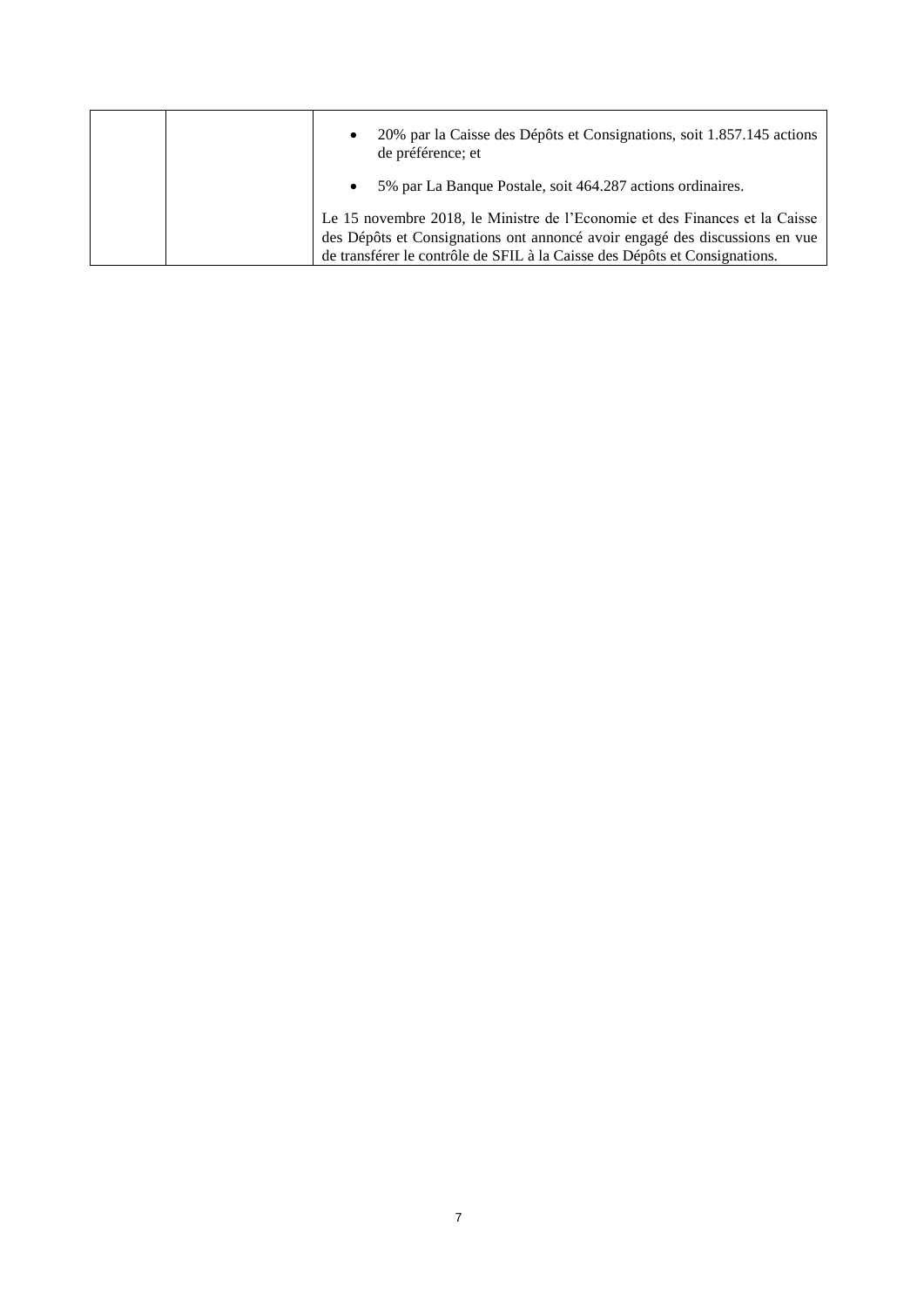|  | 20% par la Caisse des Dépôts et Consignations, soit 1.857.145 actions<br>$\bullet$<br>de préférence; et |
|--|---------------------------------------------------------------------------------------------------------|
|  | 5% par La Banque Postale, soit 464.287 actions ordinaires.<br>$\bullet$                                 |
|  | Le 15 novembre 2018, le Ministre de l'Economie et des Finances et la Caisse                             |
|  | des Dépôts et Consignations ont annoncé avoir engagé des discussions en vue                             |
|  | de transférer le contrôle de SFIL à la Caisse des Dépôts et Consignations.                              |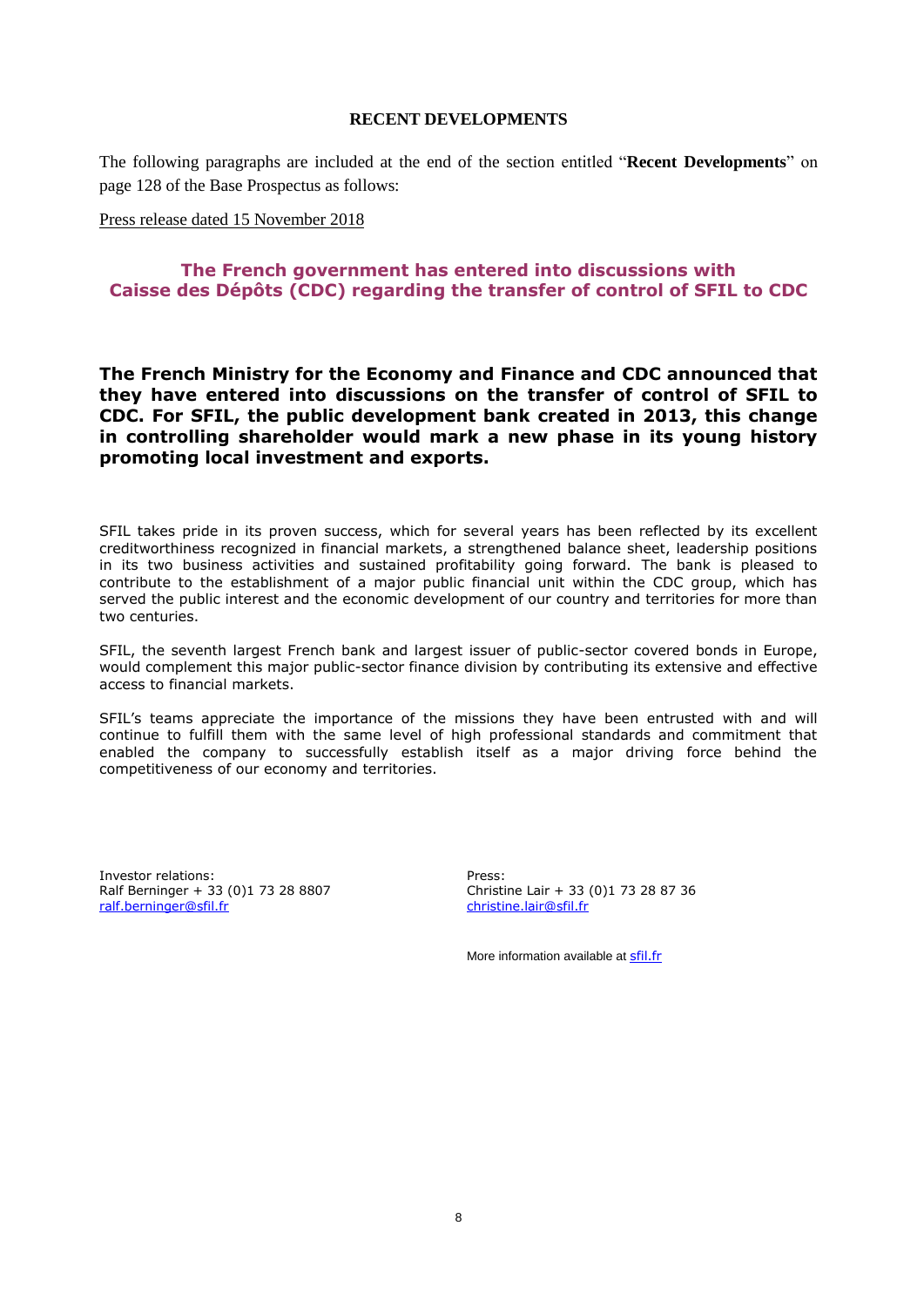#### **RECENT DEVELOPMENTS**

<span id="page-7-0"></span>The following paragraphs are included at the end of the section entitled "**Recent Developments**" on page 128 of the Base Prospectus as follows:

Press release dated 15 November 2018

## **The French government has entered into discussions with Caisse des Dépôts (CDC) regarding the transfer of control of SFIL to CDC**

**The French Ministry for the Economy and Finance and CDC announced that they have entered into discussions on the transfer of control of SFIL to CDC. For SFIL, the public development bank created in 2013, this change in controlling shareholder would mark a new phase in its young history promoting local investment and exports.** 

SFIL takes pride in its proven success, which for several years has been reflected by its excellent creditworthiness recognized in financial markets, a strengthened balance sheet, leadership positions in its two business activities and sustained profitability going forward. The bank is pleased to contribute to the establishment of a major public financial unit within the CDC group, which has served the public interest and the economic development of our country and territories for more than two centuries.

SFIL, the seventh largest French bank and largest issuer of public-sector covered bonds in Europe, would complement this major public-sector finance division by contributing its extensive and effective access to financial markets.

SFIL's teams appreciate the importance of the missions they have been entrusted with and will continue to fulfill them with the same level of high professional standards and commitment that enabled the company to successfully establish itself as a major driving force behind the competitiveness of our economy and territories.

Investor relations: Ralf Berninger + 33 (0)1 73 28 8807 [ralf.berninger@sfil.fr](mailto:ralf.berninger@sfil.fr)

Press: Christine Lair + 33 (0)1 73 28 87 36 [christine.lair@sfil.fr](mailto:christine.lair@sfil.fr)

More information available at **[sfil.fr](http://sfil.fr/)**